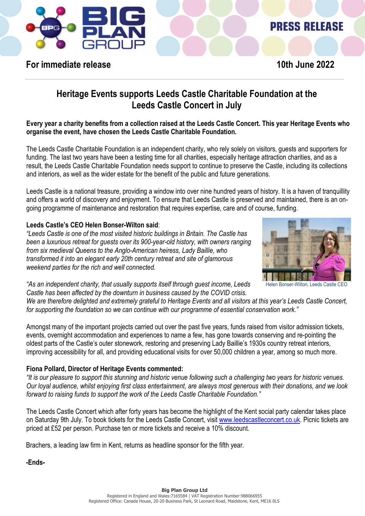

# **PRESS RELEASE**

## **For immediate release** 10th June 2022

## **Heritage Events supports Leeds Castle Charitable Foundation at the Leeds Castle Concert in July**

**Every year a charity benefits from a collection raised at the Leeds Castle Concert. This year Heritage Events who organise the event, have chosen the Leeds Castle Charitable Foundation.**

The Leeds Castle Charitable Foundation is an independent charity, who rely solely on visitors, guests and supporters for funding. The last two years have been a testing time for all charities, especially heritage attraction charities, and as a result, the Leeds Castle Charitable Foundation needs support to continue to preserve the Castle, including its collections and interiors, as well as the wider estate for the benefit of the public and future generations.

Leeds Castle is a national treasure, providing a window into over nine hundred years of history. It is a haven of tranquillity and offers a world of discovery and enjoyment. To ensure that Leeds Castle is preserved and maintained, there is an ongoing programme of maintenance and restoration that requires expertise, care and of course, funding.

#### **Leeds Castle's CEO Helen Bonser-Wilton said**:

*"Leeds Castle is one of the most visited historic buildings in Britain. The Castle has been a luxurious retreat for guests over its 900-year-old history, with owners ranging from six medieval Queens to the Anglo-American heiress, Lady Baillie, who transformed it into an elegant early 20th century retreat and site of glamorous weekend parties for the rich and well connected.*



Helen Bonser-Wilton, Leeds Castle CEO

*"As an independent charity, that usually supports itself through guest income, Leeds Castle has been affected by the downturn in business caused by the COVID crisis.* 

*We are therefore delighted and extremely grateful to Heritage Events and all visitors at this year's Leeds Castle Concert, for supporting the foundation so we can continue with our programme of essential conservation work."*

Amongst many of the important projects carried out over the past five years, funds raised from visitor admission tickets, events, overnight accommodation and experiences to name a few, has gone towards conserving and re-pointing the oldest parts of the Castle's outer stonework, restoring and preserving Lady Baillie's 1930s country retreat interiors, improving accessibility for all, and providing educational visits for over 50,000 children a year, among so much more.

#### **Fiona Pollard, Director of Heritage Events commented:**

*"It is our pleasure to support this stunning and historic venue following such a challenging two years for historic venues. Our loyal audience, whilst enjoying first class entertainment, are always most generous with their donations, and we look forward to raising funds to support the work of the Leeds Castle Charitable Foundation."*

The Leeds Castle Concert which after forty years has become the highlight of the Kent social party calendar takes place on Saturday 9th July. To book tickets for the Leeds Castle Concert, visit [www.leedscastleconcert.co.uk.](http://www.leedscastleconcert.co.uk/) Picnic tickets are priced at £52 per person. Purchase ten or more tickets and receive a 10% discount.

Brachers, a leading law firm in Kent, returns as headline sponsor for the fifth year.

**-Ends-**